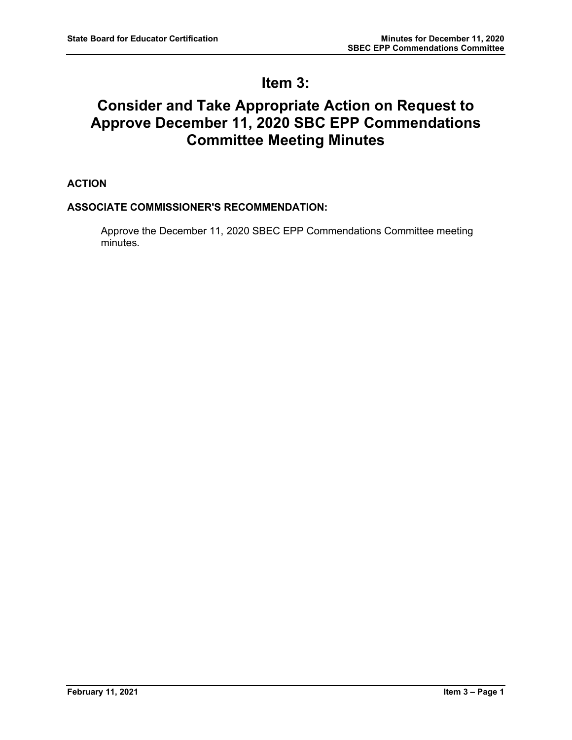# **Item 3:**

# **Consider and Take Appropriate Action on Request to Approve December 11, 2020 SBC EPP Commendations Committee Meeting Minutes**

**ACTION**

## **ASSOCIATE COMMISSIONER'S RECOMMENDATION:**

Approve the December 11, 2020 SBEC EPP Commendations Committee meeting minutes.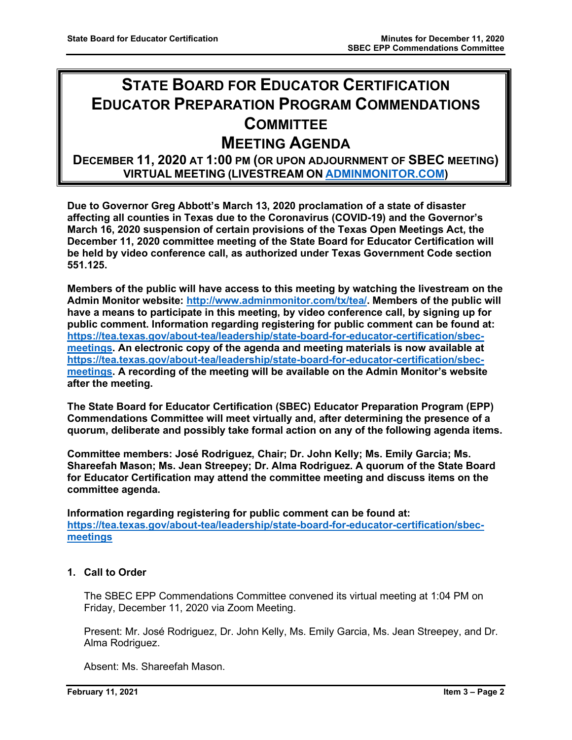# **STATE BOARD FOR EDUCATOR CERTIFICATION EDUCATOR PREPARATION PROGRAM COMMENDATIONS COMMITTEE**

# **MEETING AGENDA**

# **DECEMBER 11, 2020 AT 1:00 PM (OR UPON ADJOURNMENT OF SBEC MEETING) VIRTUAL MEETING (LIVESTREAM ON [ADMINMONITOR.COM\)](http://www.adminmonitor.com/tx/tea/)**

**Due to Governor Greg Abbott's March 13, 2020 proclamation of a state of disaster affecting all counties in Texas due to the Coronavirus (COVID-19) and the Governor's March 16, 2020 suspension of certain provisions of the Texas Open Meetings Act, the December 11, 2020 committee meeting of the State Board for Educator Certification will be held by video conference call, as authorized under Texas Government Code section 551.125.**

**Members of the public will have access to this meeting by watching the livestream on the Admin Monitor website: [http://www.adminmonitor.com/tx/tea/.](https://nam10.safelinks.protection.outlook.com/?url=https%3A%2F%2Furldefense.proofpoint.com%2Fv2%2Furl%3Fu%3Dhttps-3A__nam10.safelinks.protection.outlook.com_-3Furl-3Dhttp-253A-252F-252Fwww.adminmonitor.com-252Ftx-252Ftea-252F-26data-3D04-257C01-257CChristie.Pogue-2540tea.texas.gov-257Cc6445631862f4c3c24fd08d88cd7f8ef-257C65d6b3c3723648189613248dbd713a6f-257C0-257C0-257C637414206504031296-257CUnknown-257CTWFpbGZsb3d8eyJWIjoiMC4wLjAwMDAiLCJQIjoiV2luMzIiLCJBTiI6Ik1haWwiLCJXVCI6Mn0-253D-257C1000-26sdata-3DFZjk0iJy6lGOjUZINmvrrBIPfOgiJWizzTY19EUEKFw-253D-26reserved-3D0%26d%3DDwMFAg%26c%3DZ_mC1sqOcfBCM1ZptXokOj7_ss37GsaAMzCZyvOxKN4%26r%3DrdTMFchRbcTOCMXNp8he2fHUpWR4qUaZPE-YeEWJx48%26m%3Dv8QhdqvlKMCLXdx00P8NVOtKqgCdBSlytqfD7qFscLQ%26s%3DHeEDvFc4xkmw2uHBR4XEY5MM-sBaPQm_i-uSZqhE4IU%26e%3D&data=04%7C01%7CChristie.Pogue%40tea.texas.gov%7C7db5d824d9ec4bb66b9808d88cd9a4f9%7C65d6b3c3723648189613248dbd713a6f%7C0%7C0%7C637414213692758374%7CUnknown%7CTWFpbGZsb3d8eyJWIjoiMC4wLjAwMDAiLCJQIjoiV2luMzIiLCJBTiI6Ik1haWwiLCJXVCI6Mn0%3D%7C1000&sdata=8jGo%2BCARM%2ByZxro9Tx3rRzCuDDy57v5K%2Fxh8nCWSFjk%3D&reserved=0) Members of the public will have a means to participate in this meeting, by video conference call, by signing up for public comment. Information regarding registering for public comment can be found at: [https://tea.texas.gov/about-tea/leadership/state-board-for-educator-certification/sbec](https://nam10.safelinks.protection.outlook.com/?url=https%3A%2F%2Furldefense.proofpoint.com%2Fv2%2Furl%3Fu%3Dhttps-3A__nam10.safelinks.protection.outlook.com_-3Furl-3Dhttps-253A-252F-252Ftea.texas.gov-252Fabout-2Dtea-252Fleadership-252Fstate-2Dboard-2Dfor-2Deducator-2Dcertification-252Fsbec-2Dmeetings-26data-3D04-257C01-257CChristie.Pogue-2540tea.texas.gov-257Cc6445631862f4c3c24fd08d88cd7f8ef-257C65d6b3c3723648189613248dbd713a6f-257C0-257C0-257C637414206504031296-257CUnknown-257CTWFpbGZsb3d8eyJWIjoiMC4wLjAwMDAiLCJQIjoiV2luMzIiLCJBTiI6Ik1haWwiLCJXVCI6Mn0-253D-257C1000-26sdata-3DA1Hp3SZ-252Bbb3qdpeTM9WWbRQgu3vVlKO0EXWbcbCh30g-253D-26reserved-3D0%26d%3DDwMFAg%26c%3DZ_mC1sqOcfBCM1ZptXokOj7_ss37GsaAMzCZyvOxKN4%26r%3DrdTMFchRbcTOCMXNp8he2fHUpWR4qUaZPE-YeEWJx48%26m%3Dv8QhdqvlKMCLXdx00P8NVOtKqgCdBSlytqfD7qFscLQ%26s%3DbPFpInXNMH7lbEfpVFvakakEMgv3TxtosD1rNy2FbII%26e%3D&data=04%7C01%7CChristie.Pogue%40tea.texas.gov%7C7db5d824d9ec4bb66b9808d88cd9a4f9%7C65d6b3c3723648189613248dbd713a6f%7C0%7C0%7C637414213692768368%7CUnknown%7CTWFpbGZsb3d8eyJWIjoiMC4wLjAwMDAiLCJQIjoiV2luMzIiLCJBTiI6Ik1haWwiLCJXVCI6Mn0%3D%7C1000&sdata=uQt7HfGRnBpURslVy36jWaGBAxGo5I9RUSBESZS%2Bpc4%3D&reserved=0)[meetings.](https://nam10.safelinks.protection.outlook.com/?url=https%3A%2F%2Furldefense.proofpoint.com%2Fv2%2Furl%3Fu%3Dhttps-3A__nam10.safelinks.protection.outlook.com_-3Furl-3Dhttps-253A-252F-252Ftea.texas.gov-252Fabout-2Dtea-252Fleadership-252Fstate-2Dboard-2Dfor-2Deducator-2Dcertification-252Fsbec-2Dmeetings-26data-3D04-257C01-257CChristie.Pogue-2540tea.texas.gov-257Cc6445631862f4c3c24fd08d88cd7f8ef-257C65d6b3c3723648189613248dbd713a6f-257C0-257C0-257C637414206504031296-257CUnknown-257CTWFpbGZsb3d8eyJWIjoiMC4wLjAwMDAiLCJQIjoiV2luMzIiLCJBTiI6Ik1haWwiLCJXVCI6Mn0-253D-257C1000-26sdata-3DA1Hp3SZ-252Bbb3qdpeTM9WWbRQgu3vVlKO0EXWbcbCh30g-253D-26reserved-3D0%26d%3DDwMFAg%26c%3DZ_mC1sqOcfBCM1ZptXokOj7_ss37GsaAMzCZyvOxKN4%26r%3DrdTMFchRbcTOCMXNp8he2fHUpWR4qUaZPE-YeEWJx48%26m%3Dv8QhdqvlKMCLXdx00P8NVOtKqgCdBSlytqfD7qFscLQ%26s%3DbPFpInXNMH7lbEfpVFvakakEMgv3TxtosD1rNy2FbII%26e%3D&data=04%7C01%7CChristie.Pogue%40tea.texas.gov%7C7db5d824d9ec4bb66b9808d88cd9a4f9%7C65d6b3c3723648189613248dbd713a6f%7C0%7C0%7C637414213692768368%7CUnknown%7CTWFpbGZsb3d8eyJWIjoiMC4wLjAwMDAiLCJQIjoiV2luMzIiLCJBTiI6Ik1haWwiLCJXVCI6Mn0%3D%7C1000&sdata=uQt7HfGRnBpURslVy36jWaGBAxGo5I9RUSBESZS%2Bpc4%3D&reserved=0) An electronic copy of the agenda and meeting materials is now available at [https://tea.texas.gov/about-tea/leadership/state-board-for-educator-certification/sbec](https://nam10.safelinks.protection.outlook.com/?url=https%3A%2F%2Furldefense.proofpoint.com%2Fv2%2Furl%3Fu%3Dhttps-3A__nam10.safelinks.protection.outlook.com_-3Furl-3Dhttps-253A-252F-252Ftea.texas.gov-252Fabout-2Dtea-252Fleadership-252Fstate-2Dboard-2Dfor-2Deducator-2Dcertification-252Fsbec-2Dmeetings-26data-3D04-257C01-257CChristie.Pogue-2540tea.texas.gov-257Cc6445631862f4c3c24fd08d88cd7f8ef-257C65d6b3c3723648189613248dbd713a6f-257C0-257C0-257C637414206504041288-257CUnknown-257CTWFpbGZsb3d8eyJWIjoiMC4wLjAwMDAiLCJQIjoiV2luMzIiLCJBTiI6Ik1haWwiLCJXVCI6Mn0-253D-257C1000-26sdata-3DPovlCHNB-252BxViP-252FOXxl2vYEGqNtM61lIUYHcPjX0BiJc-253D-26reserved-3D0%26d%3DDwMFAg%26c%3DZ_mC1sqOcfBCM1ZptXokOj7_ss37GsaAMzCZyvOxKN4%26r%3DrdTMFchRbcTOCMXNp8he2fHUpWR4qUaZPE-YeEWJx48%26m%3Dv8QhdqvlKMCLXdx00P8NVOtKqgCdBSlytqfD7qFscLQ%26s%3DFiSY_HgZBv--E_CX4Lgdsqy13AkIoFlFidhvvxSjry4%26e%3D&data=04%7C01%7CChristie.Pogue%40tea.texas.gov%7C7db5d824d9ec4bb66b9808d88cd9a4f9%7C65d6b3c3723648189613248dbd713a6f%7C0%7C0%7C637414213692778364%7CUnknown%7CTWFpbGZsb3d8eyJWIjoiMC4wLjAwMDAiLCJQIjoiV2luMzIiLCJBTiI6Ik1haWwiLCJXVCI6Mn0%3D%7C1000&sdata=84bEqxr0VnO2jDj1kQqwLCbqvr7%2FmccSe4afC%2FFgVH0%3D&reserved=0)[meetings.](https://nam10.safelinks.protection.outlook.com/?url=https%3A%2F%2Furldefense.proofpoint.com%2Fv2%2Furl%3Fu%3Dhttps-3A__nam10.safelinks.protection.outlook.com_-3Furl-3Dhttps-253A-252F-252Ftea.texas.gov-252Fabout-2Dtea-252Fleadership-252Fstate-2Dboard-2Dfor-2Deducator-2Dcertification-252Fsbec-2Dmeetings-26data-3D04-257C01-257CChristie.Pogue-2540tea.texas.gov-257Cc6445631862f4c3c24fd08d88cd7f8ef-257C65d6b3c3723648189613248dbd713a6f-257C0-257C0-257C637414206504041288-257CUnknown-257CTWFpbGZsb3d8eyJWIjoiMC4wLjAwMDAiLCJQIjoiV2luMzIiLCJBTiI6Ik1haWwiLCJXVCI6Mn0-253D-257C1000-26sdata-3DPovlCHNB-252BxViP-252FOXxl2vYEGqNtM61lIUYHcPjX0BiJc-253D-26reserved-3D0%26d%3DDwMFAg%26c%3DZ_mC1sqOcfBCM1ZptXokOj7_ss37GsaAMzCZyvOxKN4%26r%3DrdTMFchRbcTOCMXNp8he2fHUpWR4qUaZPE-YeEWJx48%26m%3Dv8QhdqvlKMCLXdx00P8NVOtKqgCdBSlytqfD7qFscLQ%26s%3DFiSY_HgZBv--E_CX4Lgdsqy13AkIoFlFidhvvxSjry4%26e%3D&data=04%7C01%7CChristie.Pogue%40tea.texas.gov%7C7db5d824d9ec4bb66b9808d88cd9a4f9%7C65d6b3c3723648189613248dbd713a6f%7C0%7C0%7C637414213692778364%7CUnknown%7CTWFpbGZsb3d8eyJWIjoiMC4wLjAwMDAiLCJQIjoiV2luMzIiLCJBTiI6Ik1haWwiLCJXVCI6Mn0%3D%7C1000&sdata=84bEqxr0VnO2jDj1kQqwLCbqvr7%2FmccSe4afC%2FFgVH0%3D&reserved=0) A recording of the meeting will be available on the Admin Monitor's website after the meeting.**

**The State Board for Educator Certification (SBEC) Educator Preparation Program (EPP) Commendations Committee will meet virtually and, after determining the presence of a quorum, deliberate and possibly take formal action on any of the following agenda items.**

**Committee members: José Rodriguez, Chair; Dr. John Kelly; Ms. Emily Garcia; Ms. Shareefah Mason; Ms. Jean Streepey; Dr. Alma Rodriguez. A quorum of the State Board for Educator Certification may attend the committee meeting and discuss items on the committee agenda.**

**Information regarding registering for public comment can be found at: [https://tea.texas.gov/about-tea/leadership/state-board-for-educator-certification/sbec](https://nam10.safelinks.protection.outlook.com/?url=https%3A%2F%2Ftea.texas.gov%2Fabout-tea%2Fleadership%2Fstate-board-for-educator-certification%2Fsbec-meetings&data=02%7C01%7CKatelin.Allen%40tea.texas.gov%7C33f09bed51314321053e08d7e6d36cb5%7C65d6b3c3723648189613248dbd713a6f%7C0%7C0%7C637231668044732631&sdata=p8LIEPR4IIZEJnEdirrTXTHGHIbtX2MWtvumJv7Tzho%3D&reserved=0)[meetings](https://nam10.safelinks.protection.outlook.com/?url=https%3A%2F%2Ftea.texas.gov%2Fabout-tea%2Fleadership%2Fstate-board-for-educator-certification%2Fsbec-meetings&data=02%7C01%7CKatelin.Allen%40tea.texas.gov%7C33f09bed51314321053e08d7e6d36cb5%7C65d6b3c3723648189613248dbd713a6f%7C0%7C0%7C637231668044732631&sdata=p8LIEPR4IIZEJnEdirrTXTHGHIbtX2MWtvumJv7Tzho%3D&reserved=0)**

## **1. Call to Order**

The SBEC EPP Commendations Committee convened its virtual meeting at 1:04 PM on Friday, December 11, 2020 via Zoom Meeting.

Present: Mr. José Rodriguez, Dr. John Kelly, Ms. Emily Garcia, Ms. Jean Streepey, and Dr. Alma Rodriguez.

Absent: Ms. Shareefah Mason.